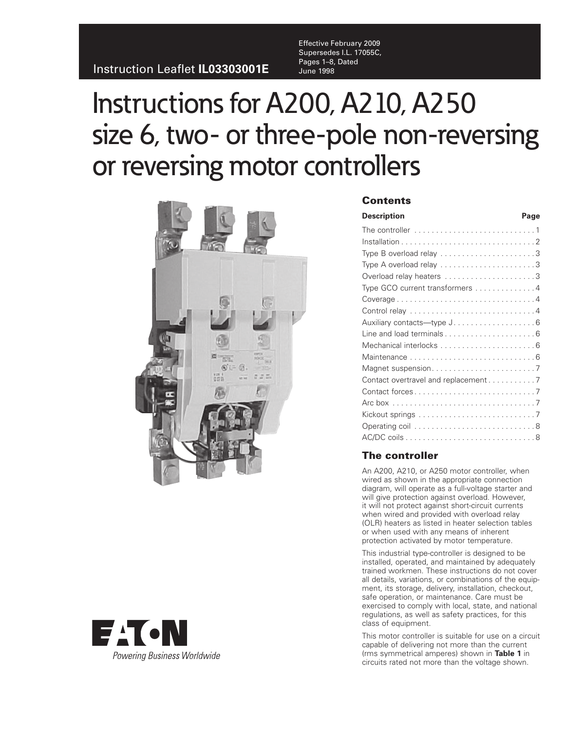Effective February 2009 Supersedes I.L. 17055C, Pages 1–8, Dated<br>June 1998

# Instructions for A200, A210, A250 size 6, two- or three-pole non-reversing or reversing motor controllers





## **Contents**

| <b>Description</b><br>Page                                          |  |
|---------------------------------------------------------------------|--|
| The controller $\dots\dots\dots\dots\dots\dots\dots\dots\dots\dots$ |  |
|                                                                     |  |
| Type B overload relay 3                                             |  |
|                                                                     |  |
|                                                                     |  |
| Type GCO current transformers 4                                     |  |
|                                                                     |  |
|                                                                     |  |
| Auxiliary contacts-type J. 6                                        |  |
|                                                                     |  |
|                                                                     |  |
|                                                                     |  |
|                                                                     |  |
| Contact overtravel and replacement 7                                |  |
|                                                                     |  |
|                                                                     |  |
|                                                                     |  |
|                                                                     |  |
|                                                                     |  |

## **The controller**

An A200, A210, or A250 motor controller, when wired as shown in the appropriate connection diagram, will operate as a full-voltage starter and will give protection against overload. However, it will not protect against short-circuit currents when wired and provided with overload relay (OLR) heaters as listed in heater selection tables or when used with any means of inherent protection activated by motor temperature.

This industrial type-controller is designed to be installed, operated, and maintained by adequately trained workmen. These instructions do not cover all details, variations, or combinations of the equipment, its storage, delivery, installation, checkout, safe operation, or maintenance. Care must be exercised to comply with local, state, and national regulations, as well as safety practices, for this class of equipment.

This motor controller is suitable for use on a circuit capable of delivering not more than the current (rms symmetrical amperes) shown in **Table 1** in circuits rated not more than the voltage shown.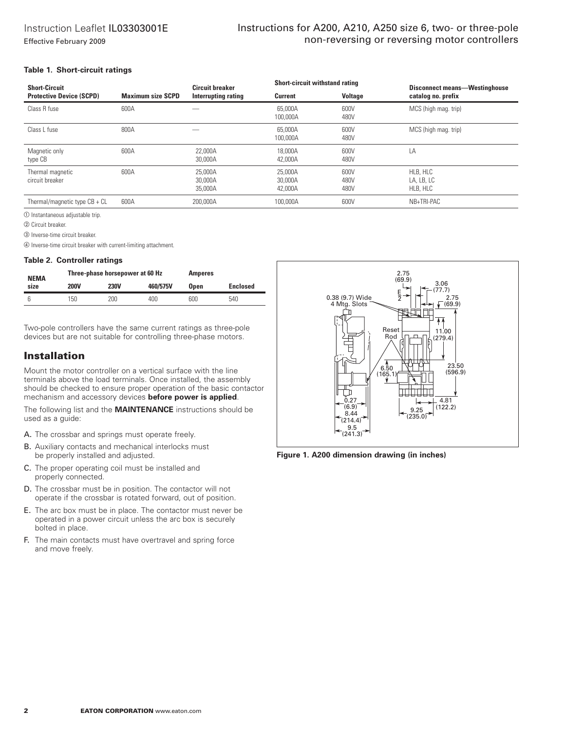## Instructions for A200, A210, A250 size 6, two- or three-pole non-reversing or reversing motor controllers

#### **Table 1. Short-circuit ratings**

| <b>Short-Circuit</b>                |                          | <b>Circuit breaker</b>        | <b>Short-circuit withstand rating</b> |                      | <b>Disconnect means-Westinghouse</b> |
|-------------------------------------|--------------------------|-------------------------------|---------------------------------------|----------------------|--------------------------------------|
| <b>Protective Device (SCPD)</b>     | <b>Maximum size SCPD</b> | Interrupting rating           | <b>Current</b>                        | <b>Voltage</b>       | catalog no. prefix                   |
| Class R fuse                        | 600A                     |                               | 65,000A<br>100,000A                   | 600V<br>480V         | MCS (high mag. trip)                 |
| Class L fuse                        | 800A                     |                               | 65,000A<br>100,000A                   | 600V<br>480V         | MCS (high mag. trip)                 |
| Magnetic only<br>type CB            | 600A                     | 22.000A<br>30,000A            | 18,000A<br>42,000A                    | 600V<br>480V         | LA                                   |
| Thermal magnetic<br>circuit breaker | 600A                     | 25,000A<br>30,000A<br>35,000A | 25,000A<br>30,000A<br>42,000A         | 600V<br>480V<br>480V | HLB, HLC<br>LA, LB, LC<br>HLB, HLC   |
| Thermal/magnetic type $CB + CL$     | 600A                     | 200,000A                      | 100,000A                              | 600V                 | NB+TRI-PAC                           |

- Instantaneous adjustable trip.

Circuit breaker.

Inverse-time circuit breaker.

Inverse-time circuit breaker with current-limiting attachment.

#### **Table 2. Controller ratings**

| <b>NEMA</b> | Three-phase horsepower at 60 Hz |             |          | <b>Amperes</b> |                 |
|-------------|---------------------------------|-------------|----------|----------------|-----------------|
| size        | <b>200V</b>                     | <b>230V</b> | 460/575V | <b>Open</b>    | <b>Enclosed</b> |
|             | 150                             | 200         | 400      | 600            | 540             |

Two-pole controllers have the same current ratings as three-pole devices but are not suitable for controlling three-phase motors.

## **Installation**

Mount the motor controller on a vertical surface with the line terminals above the load terminals. Once installed, the assembly should be checked to ensure proper operation of the basic contactor mechanism and accessory devices **before power is applied**.

The following list and the **MAINTENANCE** instructions should be used as a guide:

- A. The crossbar and springs must operate freely.
- B. Auxiliary contacts and mechanical interlocks must be properly installed and adjusted.
- C. The proper operating coil must be installed and properly connected.
- D. The crossbar must be in position. The contactor will not operate if the crossbar is rotated forward, out of position.
- E. The arc box must be in place. The contactor must never be operated in a power circuit unless the arc box is securely bolted in place.
- F. The main contacts must have overtravel and spring force and move freely.



**Figure 1. A200 dimension drawing (in inches)**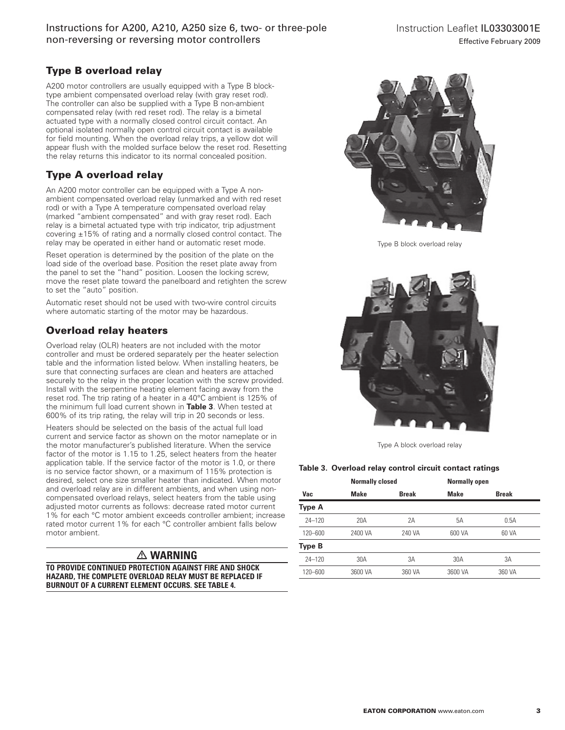## Instructions for A200, A210, A250 size 6, two- or three-pole non-reversing or reversing motor controllers

# **Type B overload relay**

A200 motor controllers are usually equipped with a Type B blocktype ambient compensated overload relay (with gray reset rod). The controller can also be supplied with a Type B non-ambient compensated relay (with red reset rod). The relay is a bimetal actuated type with a normally closed control circuit contact. An optional isolated normally open control circuit contact is available for field mounting. When the overload relay trips, a yellow dot will appear flush with the molded surface below the reset rod. Resetting the relay returns this indicator to its normal concealed position.

# **Type A overload relay**

An A200 motor controller can be equipped with a Type A nonambient compensated overload relay (unmarked and with red reset rod) or with a Type A temperature compensated overload relay (marked "ambient compensated" and with gray reset rod). Each relay is a bimetal actuated type with trip indicator, trip adjustment covering ±15% of rating and a normally closed control contact. The relay may be operated in either hand or automatic reset mode.

Reset operation is determined by the position of the plate on the load side of the overload base. Position the reset plate away from the panel to set the "hand" position. Loosen the locking screw, move the reset plate toward the panelboard and retighten the screw to set the "auto" position.

Automatic reset should not be used with two-wire control circuits where automatic starting of the motor may be hazardous.

# **Overload relay heaters**

Overload relay (OLR) heaters are not included with the motor controller and must be ordered separately per the heater selection table and the information listed below. When installing heaters, be sure that connecting surfaces are clean and heaters are attached securely to the relay in the proper location with the screw provided. Install with the serpentine heating element facing away from the reset rod. The trip rating of a heater in a 40°C ambient is 125% of the minimum full load current shown in **Table 3**. When tested at 600% of its trip rating, the relay will trip in 20 seconds or less.

Heaters should be selected on the basis of the actual full load current and service factor as shown on the motor nameplate or in the motor manufacturer's published literature. When the service factor of the motor is 1.15 to 1.25, select heaters from the heater application table. If the service factor of the motor is 1.0, or there is no service factor shown, or a maximum of 115% protection is desired, select one size smaller heater than indicated. When motor and overload relay are in different ambients, and when using noncompensated overload relays, select heaters from the table using adjusted motor currents as follows: decrease rated motor current 1% for each °C motor ambient exceeds controller ambient; increase rated motor current 1% for each °C controller ambient falls below motor ambient.

# - **WARNING**

**TO PROVIDE CONTINUED PROTECTION AGAINST FIRE AND SHOCK HAZARD, THE COMPLETE OVERLOAD RELAY MUST BE REPLACED IF BURNOUT OF A CURRENT ELEMENT OCCURS. SEE TABLE 4.**



Type B block overload relay



Type A block overload relay

## **Table 3. Overload relay control circuit contact ratings**

|               |             | <b>Normally closed</b> |             | <b>Normally open</b> |
|---------------|-------------|------------------------|-------------|----------------------|
| Vac           | <b>Make</b> | <b>Break</b>           | <b>Make</b> | <b>Break</b>         |
| Type A        |             |                        |             |                      |
| $24 - 120$    | 20A         | 2A                     | 5Α          | 0.5A                 |
| $120 - 600$   | 2400 VA     | 240 VA                 | 600 VA      | 60 VA                |
| <b>Type B</b> |             |                        |             |                      |
| $24 - 120$    | 30A         | 3A                     | 30A         | 3A                   |
| 120-600       | 3600 VA     | 360 VA                 | 3600 VA     | 360 VA               |
|               |             |                        |             |                      |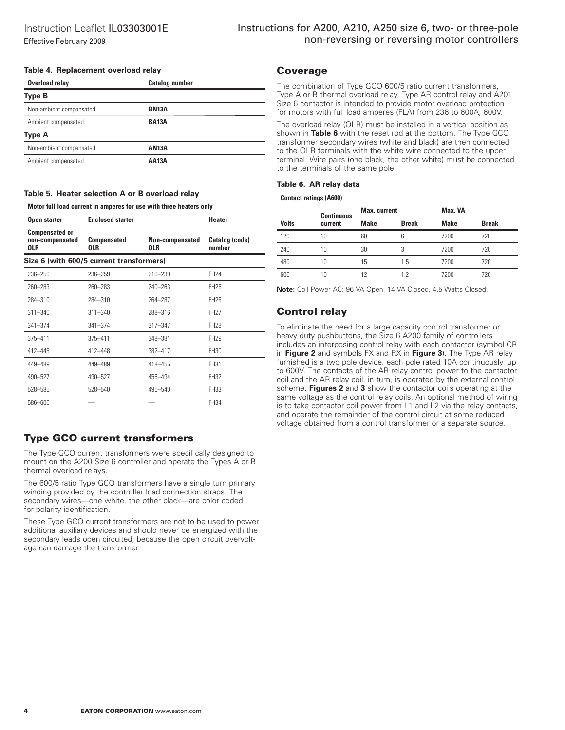#### **Table 4. Replacement overload relay**

| Overload relay          | <b>Catalog number</b> |  |
|-------------------------|-----------------------|--|
| <b>Type B</b>           |                       |  |
| Non-ambient compensated | <b>BN13A</b>          |  |
| Ambient compensated     | <b>BA13A</b>          |  |
| <b>Type A</b>           |                       |  |
| Non-ambient compensated | <b>AN13A</b>          |  |
| Ambient compensated     | <b>AA13A</b>          |  |
|                         |                       |  |

**Table 5. Heater selection A or B overload relay**

#### **Motor full load current in amperes for use with three heaters only**

| Open starter                                           | <b>Enclosed starter</b>                  |                               | <b>Heater</b>            |
|--------------------------------------------------------|------------------------------------------|-------------------------------|--------------------------|
| <b>Compensated or</b><br>non-compensated<br><b>OLR</b> | <b>Compensated</b><br><b>OLR</b>         | Non-compensated<br><b>OLR</b> | Catalog (code)<br>number |
|                                                        | Size 6 (with 600/5 current transformers) |                               |                          |
| 236-259                                                | 236-259                                  | 219-239                       | FH24                     |
| 260-283                                                | 260-283                                  | 240-263                       | FH <sub>25</sub>         |
| 284-310                                                | 284-310                                  | 264-287                       | <b>FH26</b>              |
| $311 - 340$                                            | $311 - 340$                              | 288-316                       | <b>FH27</b>              |
| $341 - 374$                                            | $341 - 374$                              | 317-347                       | <b>FH28</b>              |
| 375-411                                                | $375 - 411$                              | 348-381                       | <b>FH29</b>              |
| 412-448                                                | 412-448                                  | 382-417                       | FH30                     |
| 449-489                                                | 449-489                                  | 418-455                       | FH31                     |
| 490-527                                                | 490-527                                  | 456-494                       | FH32                     |
| 528-585                                                | 528-540                                  | 495-540                       | FH33                     |
| 586-600                                                |                                          |                               | FH34                     |

## **Type GCO current transformers**

The Type GCO current transformers were specifically designed to mount on the A200 Size 6 controller and operate the Types A or B thermal overload relays.

The 600/5 ratio Type GCO transformers have a single turn primary winding provided by the controller load connection straps. The secondary wires—one white, the other black—are color coded for polarity identification.

These Type GCO current transformers are not to be used to power additional auxiliary devices and should never be energized with the secondary leads open circuited, because the open circuit overvoltage can damage the transformer.

## **Coverage**

The combination of Type GCO 600/5 ratio current transformers, Type A or B thermal overload relay, Type AR control relay and A201 Size 6 contactor is intended to provide motor overload protection for motors with full load amperes (FLA) from 236 to 600A, 600V.

The overload relay (OLR) must be installed in a vertical position as shown in **Table 6** with the reset rod at the bottom. The Type GCO transformer secondary wires (white and black) are then connected to the OLR terminals with the white wire connected to the upper terminal. Wire pairs (one black, the other white) must be connected to the terminals of the same pole.

#### **Table 6. AR relay data**

#### **Contact ratings (A600)**

|              | <b>Continuous</b> | <b>Max.</b> current |              | Max. VA     |              |
|--------------|-------------------|---------------------|--------------|-------------|--------------|
| <b>Volts</b> | current           | <b>Make</b>         | <b>Break</b> | <b>Make</b> | <b>Break</b> |
| 120          | 10                | 60                  | 6            | 7200        | 720          |
| 240          | 10                | 30                  | 3            | 7200        | 720          |
| 480          | 10                | 15                  | 1.5          | 7200        | 720          |
| 600          | 10                | 12                  | 12           | 7200        | 720          |

**Note:** Coil Power AC: 96 VA Open, 14 VA Closed, 4.5 Watts Closed.

## **Control relay**

To eliminate the need for a large capacity control transformer or heavy duty pushbuttons, the Size 6 A200 family of controllers includes an interposing control relay with each contactor (symbol CR in **Figure 2** and symbols FX and RX in **Figure 3**). The Type AR relay furnished is a two pole device, each pole rated 10A continuously, up to 600V. The contacts of the AR relay control power to the contactor coil and the AR relay coil, in turn, is operated by the external control scheme. **Figures 2** and **3** show the contactor coils operating at the same voltage as the control relay coils. An optional method of wiring is to take contactor coil power from L1 and L2 via the relay contacts, and operate the remainder of the control circuit at some reduced voltage obtained from a control transformer or a separate source.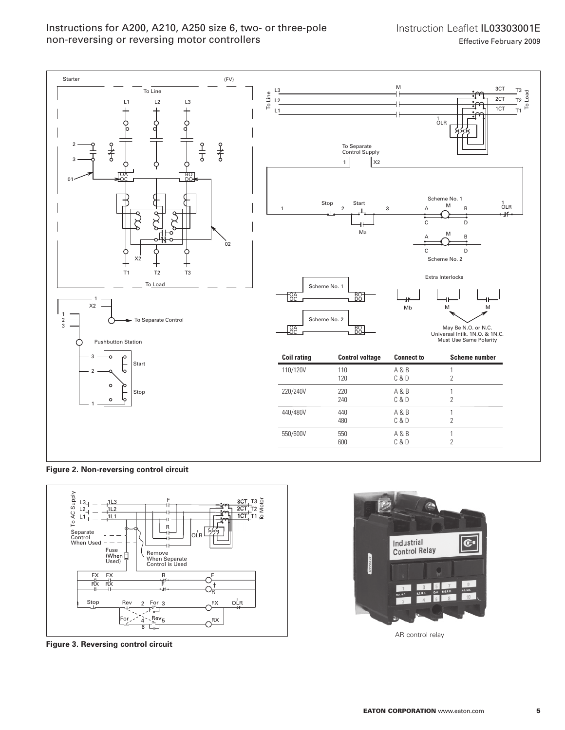Instructions for A200, A210, A250 size 6, two- or three-pole non-reversing or reversing motor controllers

Instruction Leaflet IL03303001E Effective February 2009



**Figure 2. Non-reversing control circuit**



**Figure 3. Reversing control circuit**



AR control relay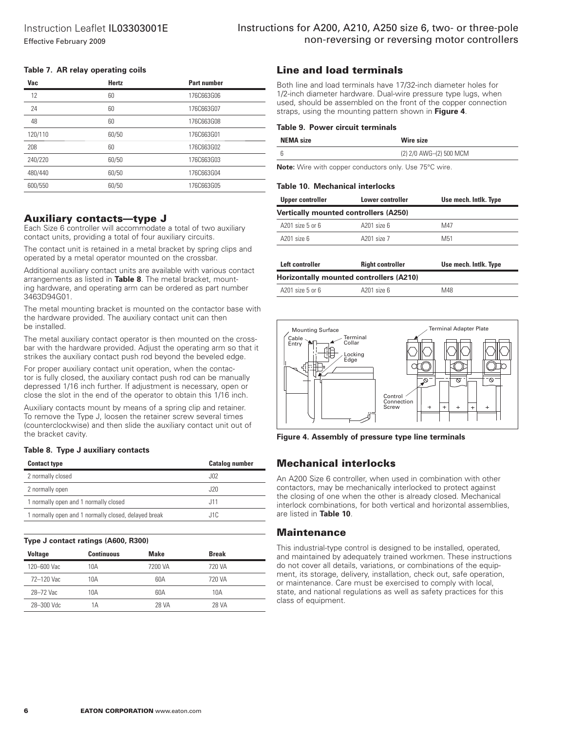#### **Table 7. AR relay operating coils**

| Vac     | Hertz | <b>Part number</b> |
|---------|-------|--------------------|
| 12      | 60    | 176C663G06         |
| 24      | 60    | 176C663G07         |
| 48      | 60    | 176C663G08         |
| 120/110 | 60/50 | 176C663G01         |
| 208     | 60    | 176C663G02         |
| 240/220 | 60/50 | 176C663G03         |
| 480/440 | 60/50 | 176C663G04         |
| 600/550 | 60/50 | 176C663G05         |

## **Auxiliary contacts—type J**

Each Size 6 controller will accommodate a total of two auxiliary contact units, providing a total of four auxiliary circuits.

The contact unit is retained in a metal bracket by spring clips and operated by a metal operator mounted on the crossbar.

Additional auxiliary contact units are available with various contact arrangements as listed in **Table 8**. The metal bracket, mounting hardware, and operating arm can be ordered as part number 3463D94G01.

The metal mounting bracket is mounted on the contactor base with the hardware provided. The auxiliary contact unit can then be installed.

The metal auxiliary contact operator is then mounted on the crossbar with the hardware provided. Adjust the operating arm so that it strikes the auxiliary contact push rod beyond the beveled edge.

For proper auxiliary contact unit operation, when the contactor is fully closed, the auxiliary contact push rod can be manually depressed 1/16 inch further. If adjustment is necessary, open or close the slot in the end of the operator to obtain this 1/16 inch.

Auxiliary contacts mount by means of a spring clip and retainer. To remove the Type J, loosen the retainer screw several times (counterclockwise) and then slide the auxiliary contact unit out of the bracket cavity.

#### **Table 8. Type J auxiliary contacts**

| <b>Contact type</b>                                  | <b>Catalog number</b> |
|------------------------------------------------------|-----------------------|
| 2 normally closed                                    | J02                   |
| 2 normally open                                      | J20                   |
| 1 normally open and 1 normally closed                | J11                   |
| 1 normally open and 1 normally closed, delayed break | J1C                   |

#### **Type J contact ratings (A600, R300)**

| <b>Voltage</b> | Continuous | Make    | <b>Break</b> |
|----------------|------------|---------|--------------|
| 120-600 Vac    | 10A        | 7200 VA | 720 VA       |
| 72-120 Vac     | 10A        | 60A     | 720 VA       |
| 28-72 Vac      | 10A        | 60A     | 10A          |
| 28-300 Vdc     | 1Α         | 28 VA   | <b>28 VA</b> |

## **Line and load terminals**

Both line and load terminals have 17/32-inch diameter holes for 1/2-inch diameter hardware. Dual-wire pressure type lugs, when used, should be assembled on the front of the copper connection straps, using the mounting pattern shown in **Figure 4**.

#### **Table 9. Power circuit terminals**

| <b>NEMA</b> size | Wire size               |  |
|------------------|-------------------------|--|
|                  | (2) 2/0 AWG-(2) 500 MCM |  |
|                  |                         |  |

**Note:** Wire with copper conductors only. Use 75°C wire.

#### **Table 10. Mechanical interlocks**

| Upper controller   | Lower controller                             | Use mech. Intlk. Type |  |  |  |
|--------------------|----------------------------------------------|-----------------------|--|--|--|
|                    | <b>Vertically mounted controllers (A250)</b> |                       |  |  |  |
| $A201$ size 5 or 6 | $A201$ size $6$                              | M47                   |  |  |  |
| $A201$ size $6$    | A201 size 7                                  | M <sub>51</sub>       |  |  |  |

| Left controller  | <b>Right controller</b>                 | Use mech. Intlk. Type |
|------------------|-----------------------------------------|-----------------------|
|                  | Horizontally mounted controllers (A210) |                       |
| A201 size 5 or 6 | $A201$ size $6$                         | M48                   |



**Figure 4. Assembly of pressure type line terminals**

## **Mechanical interlocks**

An A200 Size 6 controller, when used in combination with other contactors, may be mechanically interlocked to protect against the closing of one when the other is already closed. Mechanical interlock combinations, for both vertical and horizontal assemblies, are listed in **Table 10**.

## **Maintenance**

This industrial-type control is designed to be installed, operated, and maintained by adequately trained workmen. These instructions do not cover all details, variations, or combinations of the equipment, its storage, delivery, installation, check out, safe operation, or maintenance. Care must be exercised to comply with local, state, and national regulations as well as safety practices for this class of equipment.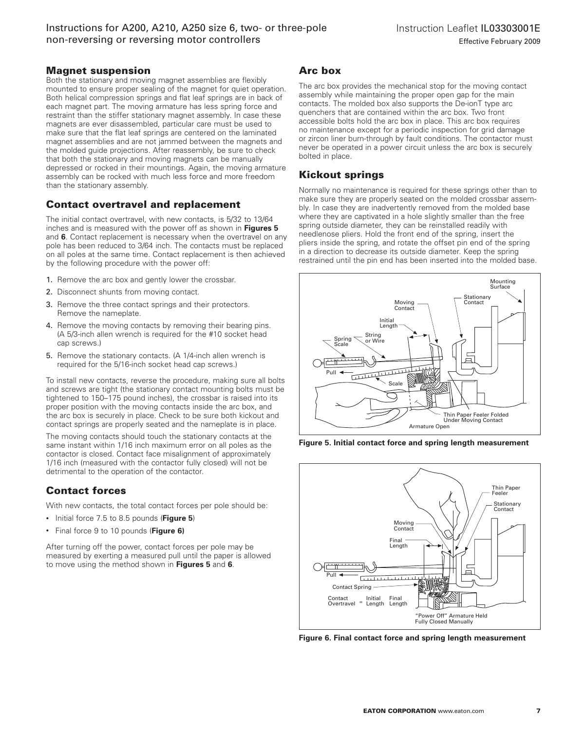## **Magnet suspension**

Both the stationary and moving magnet assemblies are flexibly mounted to ensure proper sealing of the magnet for quiet operation. Both helical compression springs and flat leaf springs are in back of each magnet part. The moving armature has less spring force and restraint than the stiffer stationary magnet assembly. In case these magnets are ever disassembled, particular care must be used to make sure that the flat leaf springs are centered on the laminated magnet assemblies and are not jammed between the magnets and the molded guide projections. After reassembly, be sure to check that both the stationary and moving magnets can be manually depressed or rocked in their mountings. Again, the moving armature assembly can be rocked with much less force and more freedom than the stationary assembly.

## **Contact overtravel and replacement**

The initial contact overtravel, with new contacts, is 5/32 to 13/64 inches and is measured with the power off as shown in **Figures 5** and **6**. Contact replacement is necessary when the overtravel on any pole has been reduced to 3/64 inch. The contacts must be replaced on all poles at the same time. Contact replacement is then achieved by the following procedure with the power off:

- 1. Remove the arc box and gently lower the crossbar.
- 2. Disconnect shunts from moving contact.
- 3. Remove the three contact springs and their protectors. Remove the nameplate.
- 4. Remove the moving contacts by removing their bearing pins. (A 5/3-inch allen wrench is required for the #10 socket head cap screws.)
- 5. Remove the stationary contacts. (A 1/4-inch allen wrench is required for the 5/16-inch socket head cap screws.)

To install new contacts, reverse the procedure, making sure all bolts and screws are tight (the stationary contact mounting bolts must be tightened to 150–175 pound inches), the crossbar is raised into its proper position with the moving contacts inside the arc box, and the arc box is securely in place. Check to be sure both kickout and contact springs are properly seated and the nameplate is in place.

The moving contacts should touch the stationary contacts at the same instant within 1/16 inch maximum error on all poles as the contactor is closed. Contact face misalignment of approximately 1/16 inch (measured with the contactor fully closed) will not be detrimental to the operation of the contactor.

# **Contact forces**

With new contacts, the total contact forces per pole should be:

- Initial force 7.5 to 8.5 pounds (**Figure 5**)
- Final force 9 to 10 pounds (**Figure 6)**

After turning off the power, contact forces per pole may be measured by exerting a measured pull until the paper is allowed to move using the method shown in **Figures 5** and **6**.

## **Arc box**

The arc box provides the mechanical stop for the moving contact assembly while maintaining the proper open gap for the main contacts. The molded box also supports the De-ionT type arc quenchers that are contained within the arc box. Two front accessible bolts hold the arc box in place. This arc box requires no maintenance except for a periodic inspection for grid damage or zircon liner burn-through by fault conditions. The contactor must never be operated in a power circuit unless the arc box is securely bolted in place.

## **Kickout springs**

Normally no maintenance is required for these springs other than to make sure they are properly seated on the molded crossbar assembly. In case they are inadvertently removed from the molded base where they are captivated in a hole slightly smaller than the free spring outside diameter, they can be reinstalled readily with needlenose pliers. Hold the front end of the spring, insert the pliers inside the spring, and rotate the offset pin end of the spring in a direction to decrease its outside diameter. Keep the spring restrained until the pin end has been inserted into the molded base.



**Figure 5. Initial contact force and spring length measurement**



**Figure 6. Final contact force and spring length measurement**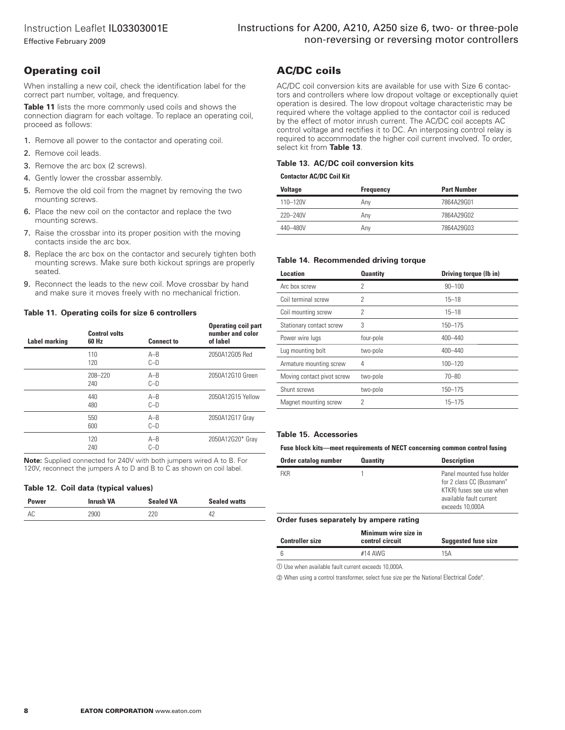Effective February 2009

# **Operating coil**

When installing a new coil, check the identification label for the correct part number, voltage, and frequency.

**Table 11** lists the more commonly used coils and shows the connection diagram for each voltage. To replace an operating coil, proceed as follows:

- 1. Remove all power to the contactor and operating coil.
- 2. Remove coil leads.
- 3. Remove the arc box (2 screws).
- 4. Gently lower the crossbar assembly.
- 5. Remove the old coil from the magnet by removing the two mounting screws.
- 6. Place the new coil on the contactor and replace the two mounting screws.
- 7. Raise the crossbar into its proper position with the moving contacts inside the arc box.
- 8. Replace the arc box on the contactor and securely tighten both mounting screws. Make sure both kickout springs are properly seated.
- 9. Reconnect the leads to the new coil. Move crossbar by hand and make sure it moves freely with no mechanical friction.

#### **Table 11. Operating coils for size 6 controllers**

| <b>Label marking</b> | <b>Control volts</b><br>60 Hz | <b>Connect to</b> | <b>Operating coil part</b><br>number and color<br>of label |
|----------------------|-------------------------------|-------------------|------------------------------------------------------------|
|                      | 110<br>120                    | $A - B$<br>$C-D$  | 2050A12G05 Red                                             |
|                      | 208-220<br>240                | $A - B$<br>$C-D$  | 2050A12G10 Green                                           |
|                      | 440<br>480                    | $A - B$<br>$C-D$  | 2050A12G15 Yellow                                          |
|                      | 550<br>600                    | $A - B$<br>$C-D$  | 2050A12G17 Gray                                            |
|                      | 120<br>240                    | $A - B$<br>$C-D$  | 2050A12G20* Gray                                           |

**Note:** Supplied connected for 240V with both jumpers wired A to B. For 120V, reconnect the jumpers A to D and B to C as shown on coil label.

#### **Table 12. Coil data (typical values)**

| Power | Inrush VA | <b>Sealed VA</b> | <b>Sealed watts</b> |
|-------|-----------|------------------|---------------------|
| AC    | ,900      |                  |                     |

## **AC/DC coils**

AC/DC coil conversion kits are available for use with Size 6 contactors and controllers where low dropout voltage or exceptionally quiet operation is desired. The low dropout voltage characteristic may be required where the voltage applied to the contactor coil is reduced by the effect of motor inrush current. The AC/DC coil accepts AC control voltage and rectifies it to DC. An interposing control relay is required to accommodate the higher coil current involved. To order, select kit from **Table 13**.

#### **Table 13. AC/DC coil conversion kits**

#### **Contactor AC/DC Coil Kit**

| <b>Voltage</b> | Frequency | <b>Part Number</b> |
|----------------|-----------|--------------------|
| 110-120V       | Anv       | 7864A29G01         |
| 220-240V       | Anv       | 7864A29G02         |
| 440-480V       | Anv       | 7864A29G03         |

#### **Table 14. Recommended driving torque**

| <b>Location</b>            | <b>Quantity</b> | Driving torque (Ib in) |
|----------------------------|-----------------|------------------------|
| Arc box screw              | 2               | $90 - 100$             |
| Coil terminal screw        | 2               | $15 - 18$              |
| Coil mounting screw        | 2               | $15 - 18$              |
| Stationary contact screw   | 3               | $150 - 175$            |
| Power wire lugs            | four-pole       | 400-440                |
| Lug mounting bolt          | two-pole        | 400-440                |
| Armature mounting screw    | 4               | $100 - 120$            |
| Moving contact pivot screw | two-pole        | $70 - 80$              |
| Shunt screws               | two-pole        | 150-175                |
| Magnet mounting screw      | 2               | $15 - 175$             |

#### **Table 15. Accessories**

#### **Fuse block kits—meet requirements of NECT concerning common control fusing**

| Order catalog number | <b>Quantity</b> | <b>Description</b>                                                                                                               |
|----------------------|-----------------|----------------------------------------------------------------------------------------------------------------------------------|
| <b>FKR</b>           |                 | Panel mounted fuse holder<br>for 2 class CC (Bussmann*<br>KTKR) fuses see use when<br>available fault current<br>exceeds 10,000A |

#### **Order fuses separately by ampere rating**

| <b>Controller size</b> | Minimum wire size in<br>control circuit | <b>Suggested fuse size</b> |
|------------------------|-----------------------------------------|----------------------------|
|                        | $#14$ AWG                               | 15A                        |

- Use when available fault current exceeds 10,000A.

2 When using a control transformer, select fuse size per the National Electrical Code®.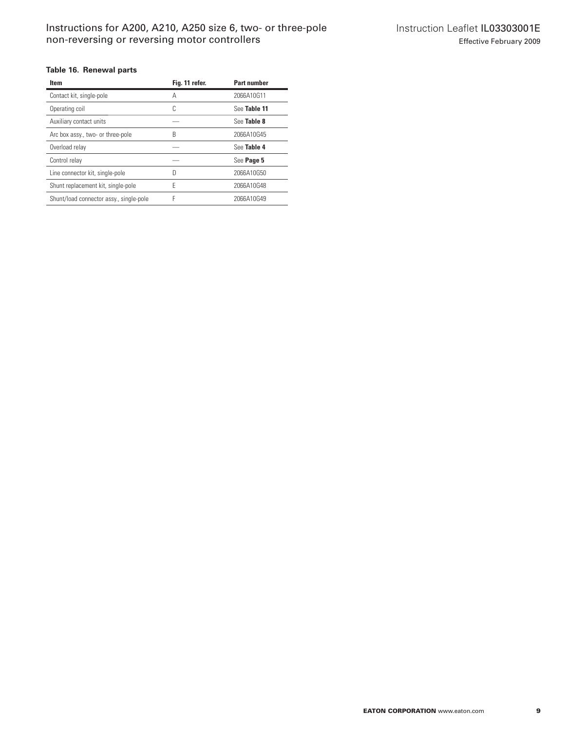### **Table 16. Renewal parts**

| <b>Item</b>                             | Fig. 11 refer. | <b>Part number</b> |
|-----------------------------------------|----------------|--------------------|
| Contact kit, single-pole                | Α              | 2066A10G11         |
| Operating coil                          | C              | See Table 11       |
| Auxiliary contact units                 |                | See Table 8        |
| Arc box assy., two- or three-pole       | B              | 2066A10G45         |
| Overload relay                          |                | See Table 4        |
| Control relay                           |                | See Page 5         |
| Line connector kit, single-pole         | n              | 2066A10G50         |
| Shunt replacement kit, single-pole      | F              | 2066A10G48         |
| Shunt/load connector assy., single-pole | F              | 2066A10G49         |